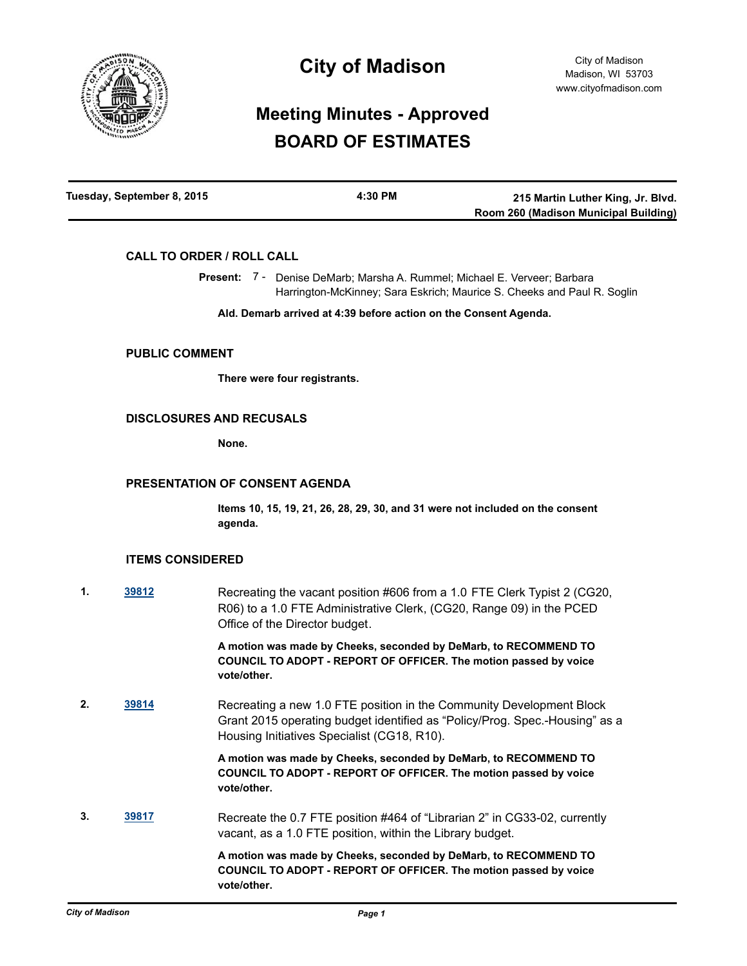

# **City of Madison**

# **Meeting Minutes - Approved BOARD OF ESTIMATES**

| Tuesday, September 8, 2015 | 4:30 PM | 215 Martin Luther King, Jr. Blvd.     |
|----------------------------|---------|---------------------------------------|
|                            |         | Room 260 (Madison Municipal Building) |

## **CALL TO ORDER / ROLL CALL**

Present: 7 - Denise DeMarb; Marsha A. Rummel; Michael E. Verveer; Barbara Harrington-McKinney; Sara Eskrich; Maurice S. Cheeks and Paul R. Soglin

**Ald. Demarb arrived at 4:39 before action on the Consent Agenda.**

#### **PUBLIC COMMENT**

**There were four registrants.**

### **DISCLOSURES AND RECUSALS**

**None.**

### **PRESENTATION OF CONSENT AGENDA**

**Items 10, 15, 19, 21, 26, 28, 29, 30, and 31 were not included on the consent agenda.**

## **ITEMS CONSIDERED**

**1. [39812](http://madison.legistar.com/gateway.aspx?m=l&id=/matter.aspx?key=43370)** Recreating the vacant position #606 from a 1.0 FTE Clerk Typist 2 (CG20, R06) to a 1.0 FTE Administrative Clerk, (CG20, Range 09) in the PCED Office of the Director budget.

> **A motion was made by Cheeks, seconded by DeMarb, to RECOMMEND TO COUNCIL TO ADOPT - REPORT OF OFFICER. The motion passed by voice vote/other.**

**2. [39814](http://madison.legistar.com/gateway.aspx?m=l&id=/matter.aspx?key=43372)** Recreating a new 1.0 FTE position in the Community Development Block Grant 2015 operating budget identified as "Policy/Prog. Spec.-Housing" as a Housing Initiatives Specialist (CG18, R10).

> **A motion was made by Cheeks, seconded by DeMarb, to RECOMMEND TO COUNCIL TO ADOPT - REPORT OF OFFICER. The motion passed by voice vote/other.**

**3. [39817](http://madison.legistar.com/gateway.aspx?m=l&id=/matter.aspx?key=43375)** Recreate the 0.7 FTE position #464 of "Librarian 2" in CG33-02, currently vacant, as a 1.0 FTE position, within the Library budget.

> **A motion was made by Cheeks, seconded by DeMarb, to RECOMMEND TO COUNCIL TO ADOPT - REPORT OF OFFICER. The motion passed by voice vote/other.**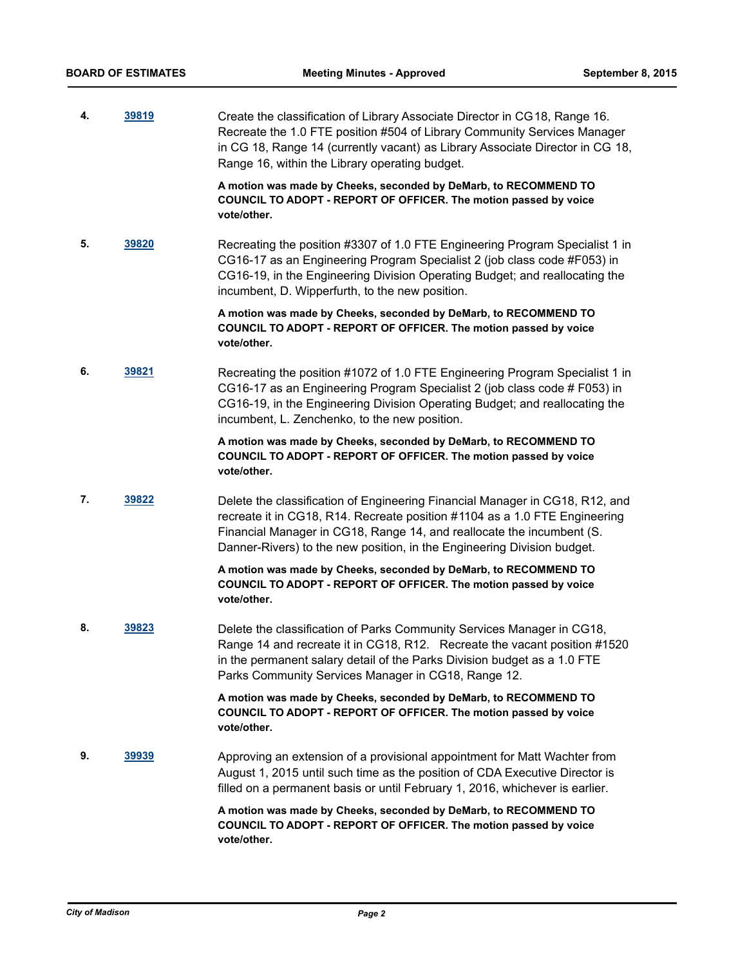**4. [39819](http://madison.legistar.com/gateway.aspx?m=l&id=/matter.aspx?key=43377)** Create the classification of Library Associate Director in CG18, Range 16. Recreate the 1.0 FTE position #504 of Library Community Services Manager in CG 18, Range 14 (currently vacant) as Library Associate Director in CG 18, Range 16, within the Library operating budget.

> **A motion was made by Cheeks, seconded by DeMarb, to RECOMMEND TO COUNCIL TO ADOPT - REPORT OF OFFICER. The motion passed by voice vote/other.**

**5. [39820](http://madison.legistar.com/gateway.aspx?m=l&id=/matter.aspx?key=43378)** Recreating the position #3307 of 1.0 FTE Engineering Program Specialist 1 in CG16-17 as an Engineering Program Specialist 2 (job class code #F053) in CG16-19, in the Engineering Division Operating Budget; and reallocating the incumbent, D. Wipperfurth, to the new position.

> **A motion was made by Cheeks, seconded by DeMarb, to RECOMMEND TO COUNCIL TO ADOPT - REPORT OF OFFICER. The motion passed by voice vote/other.**

**6. [39821](http://madison.legistar.com/gateway.aspx?m=l&id=/matter.aspx?key=43379)** Recreating the position #1072 of 1.0 FTE Engineering Program Specialist 1 in CG16-17 as an Engineering Program Specialist 2 (job class code # F053) in CG16-19, in the Engineering Division Operating Budget; and reallocating the incumbent, L. Zenchenko, to the new position.

> **A motion was made by Cheeks, seconded by DeMarb, to RECOMMEND TO COUNCIL TO ADOPT - REPORT OF OFFICER. The motion passed by voice vote/other.**

**7. [39822](http://madison.legistar.com/gateway.aspx?m=l&id=/matter.aspx?key=43380)** Delete the classification of Engineering Financial Manager in CG18, R12, and recreate it in CG18, R14. Recreate position #1104 as a 1.0 FTE Engineering Financial Manager in CG18, Range 14, and reallocate the incumbent (S. Danner-Rivers) to the new position, in the Engineering Division budget.

> **A motion was made by Cheeks, seconded by DeMarb, to RECOMMEND TO COUNCIL TO ADOPT - REPORT OF OFFICER. The motion passed by voice vote/other.**

**8. [39823](http://madison.legistar.com/gateway.aspx?m=l&id=/matter.aspx?key=43381)** Delete the classification of Parks Community Services Manager in CG18, Range 14 and recreate it in CG18, R12. Recreate the vacant position #1520 in the permanent salary detail of the Parks Division budget as a 1.0 FTE Parks Community Services Manager in CG18, Range 12.

> **A motion was made by Cheeks, seconded by DeMarb, to RECOMMEND TO COUNCIL TO ADOPT - REPORT OF OFFICER. The motion passed by voice vote/other.**

**9. [39939](http://madison.legistar.com/gateway.aspx?m=l&id=/matter.aspx?key=43486)** Approving an extension of a provisional appointment for Matt Wachter from August 1, 2015 until such time as the position of CDA Executive Director is filled on a permanent basis or until February 1, 2016, whichever is earlier.

> **A motion was made by Cheeks, seconded by DeMarb, to RECOMMEND TO COUNCIL TO ADOPT - REPORT OF OFFICER. The motion passed by voice vote/other.**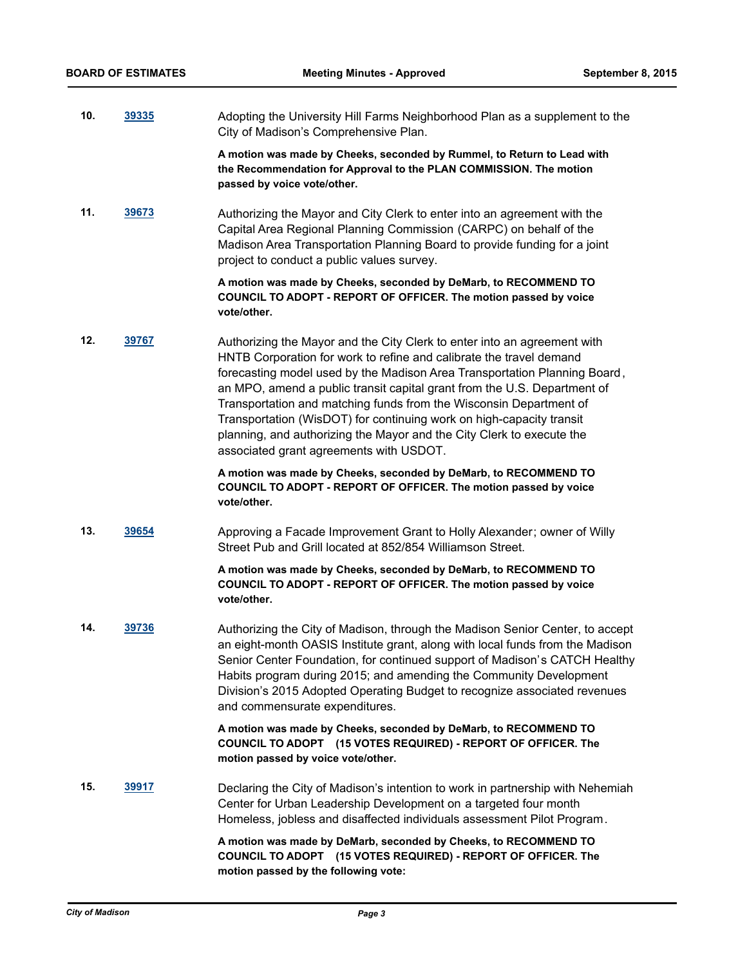**10. [39335](http://madison.legistar.com/gateway.aspx?m=l&id=/matter.aspx?key=41919)** Adopting the University Hill Farms Neighborhood Plan as a supplement to the City of Madison's Comprehensive Plan.

> **A motion was made by Cheeks, seconded by Rummel, to Return to Lead with the Recommendation for Approval to the PLAN COMMISSION. The motion passed by voice vote/other.**

**11. [39673](http://madison.legistar.com/gateway.aspx?m=l&id=/matter.aspx?key=43239)** Authorizing the Mayor and City Clerk to enter into an agreement with the Capital Area Regional Planning Commission (CARPC) on behalf of the Madison Area Transportation Planning Board to provide funding for a joint project to conduct a public values survey.

> **A motion was made by Cheeks, seconded by DeMarb, to RECOMMEND TO COUNCIL TO ADOPT - REPORT OF OFFICER. The motion passed by voice vote/other.**

**12. [39767](http://madison.legistar.com/gateway.aspx?m=l&id=/matter.aspx?key=43327)** Authorizing the Mayor and the City Clerk to enter into an agreement with HNTB Corporation for work to refine and calibrate the travel demand forecasting model used by the Madison Area Transportation Planning Board, an MPO, amend a public transit capital grant from the U.S. Department of Transportation and matching funds from the Wisconsin Department of Transportation (WisDOT) for continuing work on high-capacity transit planning, and authorizing the Mayor and the City Clerk to execute the associated grant agreements with USDOT.

> **A motion was made by Cheeks, seconded by DeMarb, to RECOMMEND TO COUNCIL TO ADOPT - REPORT OF OFFICER. The motion passed by voice vote/other.**

**13. [39654](http://madison.legistar.com/gateway.aspx?m=l&id=/matter.aspx?key=43220)** Approving a Facade Improvement Grant to Holly Alexander; owner of Willy Street Pub and Grill located at 852/854 Williamson Street.

## **A motion was made by Cheeks, seconded by DeMarb, to RECOMMEND TO COUNCIL TO ADOPT - REPORT OF OFFICER. The motion passed by voice vote/other.**

**14. [39736](http://madison.legistar.com/gateway.aspx?m=l&id=/matter.aspx?key=43296)** Authorizing the City of Madison, through the Madison Senior Center, to accept an eight-month OASIS Institute grant, along with local funds from the Madison Senior Center Foundation, for continued support of Madison's CATCH Healthy Habits program during 2015; and amending the Community Development Division's 2015 Adopted Operating Budget to recognize associated revenues and commensurate expenditures.

> **A motion was made by Cheeks, seconded by DeMarb, to RECOMMEND TO COUNCIL TO ADOPT (15 VOTES REQUIRED) - REPORT OF OFFICER. The motion passed by voice vote/other.**

**15. [39917](http://madison.legistar.com/gateway.aspx?m=l&id=/matter.aspx?key=43464)** Declaring the City of Madison's intention to work in partnership with Nehemiah Center for Urban Leadership Development on a targeted four month Homeless, jobless and disaffected individuals assessment Pilot Program.

> **A motion was made by DeMarb, seconded by Cheeks, to RECOMMEND TO COUNCIL TO ADOPT (15 VOTES REQUIRED) - REPORT OF OFFICER. The motion passed by the following vote:**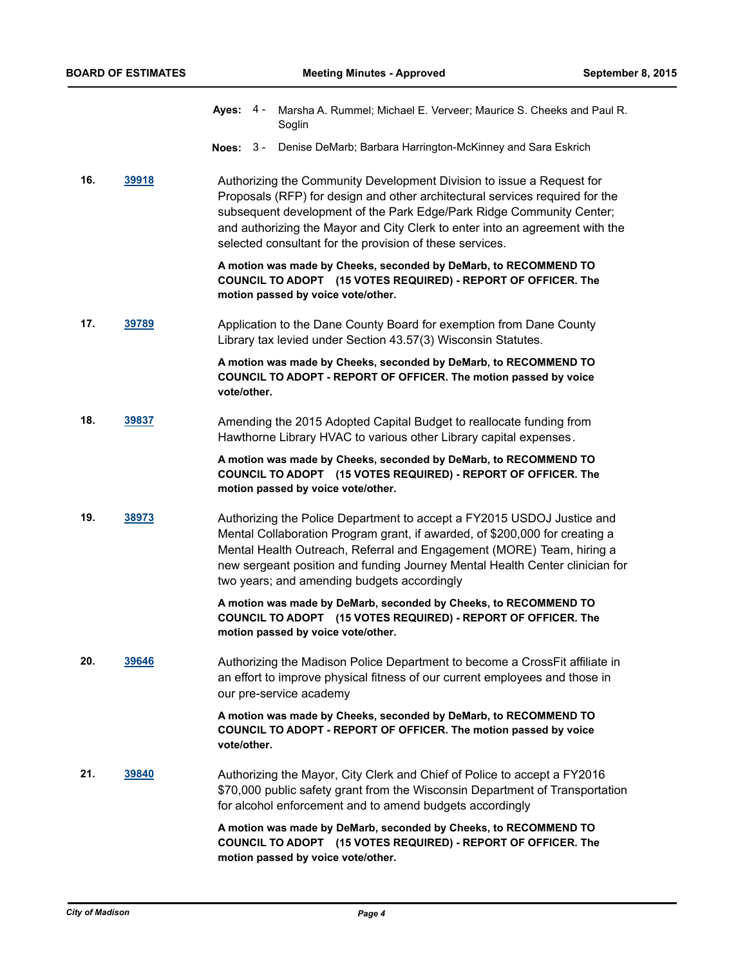- **Ayes:** Marsha A. Rummel; Michael E. Verveer; Maurice S. Cheeks and Paul R. Soglin Aves:  $4 -$
- **Noes:** 3 Denise DeMarb; Barbara Harrington-McKinney and Sara Eskrich
- **16. [39918](http://madison.legistar.com/gateway.aspx?m=l&id=/matter.aspx?key=43465)** Authorizing the Community Development Division to issue a Request for Proposals (RFP) for design and other architectural services required for the subsequent development of the Park Edge/Park Ridge Community Center; and authorizing the Mayor and City Clerk to enter into an agreement with the selected consultant for the provision of these services.

**A motion was made by Cheeks, seconded by DeMarb, to RECOMMEND TO COUNCIL TO ADOPT (15 VOTES REQUIRED) - REPORT OF OFFICER. The motion passed by voice vote/other.**

**17. [39789](http://madison.legistar.com/gateway.aspx?m=l&id=/matter.aspx?key=43349)** Application to the Dane County Board for exemption from Dane County Library tax levied under Section 43.57(3) Wisconsin Statutes.

> **A motion was made by Cheeks, seconded by DeMarb, to RECOMMEND TO COUNCIL TO ADOPT - REPORT OF OFFICER. The motion passed by voice vote/other.**

**18. [39837](http://madison.legistar.com/gateway.aspx?m=l&id=/matter.aspx?key=43394)** Amending the 2015 Adopted Capital Budget to reallocate funding from Hawthorne Library HVAC to various other Library capital expenses.

> **A motion was made by Cheeks, seconded by DeMarb, to RECOMMEND TO COUNCIL TO ADOPT (15 VOTES REQUIRED) - REPORT OF OFFICER. The motion passed by voice vote/other.**

**19. [38973](http://madison.legistar.com/gateway.aspx?m=l&id=/matter.aspx?key=41584)** Authorizing the Police Department to accept a FY2015 USDOJ Justice and Mental Collaboration Program grant, if awarded, of \$200,000 for creating a Mental Health Outreach, Referral and Engagement (MORE) Team, hiring a new sergeant position and funding Journey Mental Health Center clinician for two years; and amending budgets accordingly

> **A motion was made by DeMarb, seconded by Cheeks, to RECOMMEND TO COUNCIL TO ADOPT (15 VOTES REQUIRED) - REPORT OF OFFICER. The motion passed by voice vote/other.**

**20. [39646](http://madison.legistar.com/gateway.aspx?m=l&id=/matter.aspx?key=43212)** Authorizing the Madison Police Department to become a CrossFit affiliate in an effort to improve physical fitness of our current employees and those in our pre-service academy

> **A motion was made by Cheeks, seconded by DeMarb, to RECOMMEND TO COUNCIL TO ADOPT - REPORT OF OFFICER. The motion passed by voice vote/other.**

**21. [39840](http://madison.legistar.com/gateway.aspx?m=l&id=/matter.aspx?key=43397)** Authorizing the Mayor, City Clerk and Chief of Police to accept a FY2016 \$70,000 public safety grant from the Wisconsin Department of Transportation for alcohol enforcement and to amend budgets accordingly

> **A motion was made by DeMarb, seconded by Cheeks, to RECOMMEND TO COUNCIL TO ADOPT (15 VOTES REQUIRED) - REPORT OF OFFICER. The motion passed by voice vote/other.**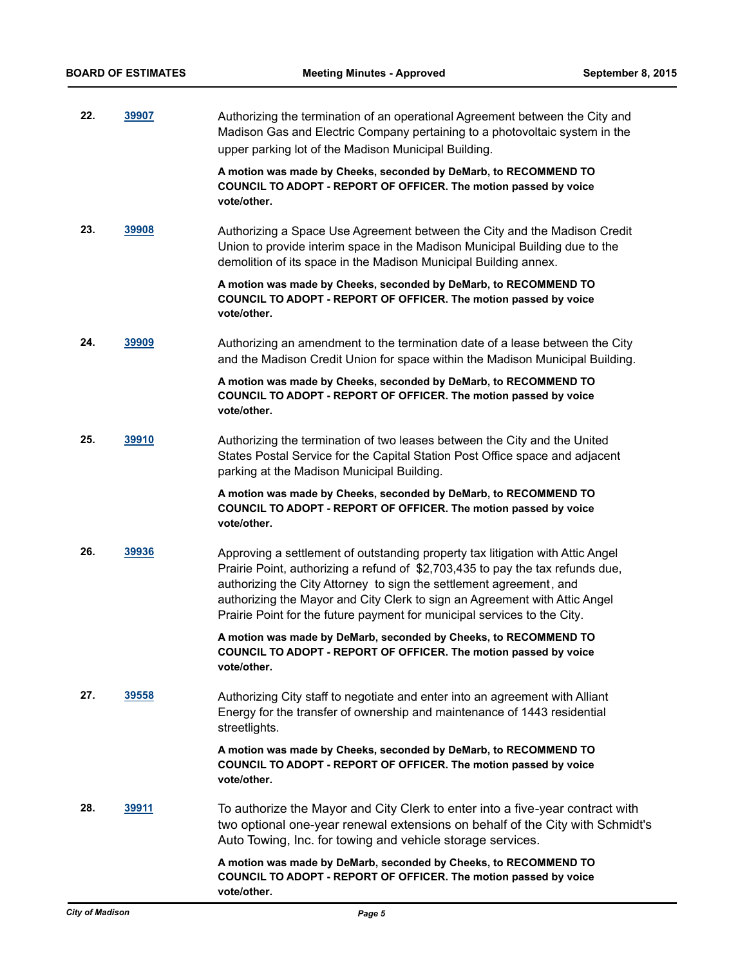**22. [39907](http://madison.legistar.com/gateway.aspx?m=l&id=/matter.aspx?key=43454)** Authorizing the termination of an operational Agreement between the City and Madison Gas and Electric Company pertaining to a photovoltaic system in the upper parking lot of the Madison Municipal Building.

> **A motion was made by Cheeks, seconded by DeMarb, to RECOMMEND TO COUNCIL TO ADOPT - REPORT OF OFFICER. The motion passed by voice vote/other.**

**23. [39908](http://madison.legistar.com/gateway.aspx?m=l&id=/matter.aspx?key=43455)** Authorizing a Space Use Agreement between the City and the Madison Credit Union to provide interim space in the Madison Municipal Building due to the demolition of its space in the Madison Municipal Building annex.

> **A motion was made by Cheeks, seconded by DeMarb, to RECOMMEND TO COUNCIL TO ADOPT - REPORT OF OFFICER. The motion passed by voice vote/other.**

**24. [39909](http://madison.legistar.com/gateway.aspx?m=l&id=/matter.aspx?key=43456)** Authorizing an amendment to the termination date of a lease between the City and the Madison Credit Union for space within the Madison Municipal Building.

> **A motion was made by Cheeks, seconded by DeMarb, to RECOMMEND TO COUNCIL TO ADOPT - REPORT OF OFFICER. The motion passed by voice vote/other.**

**25. [39910](http://madison.legistar.com/gateway.aspx?m=l&id=/matter.aspx?key=43457)** Authorizing the termination of two leases between the City and the United States Postal Service for the Capital Station Post Office space and adjacent parking at the Madison Municipal Building.

> **A motion was made by Cheeks, seconded by DeMarb, to RECOMMEND TO COUNCIL TO ADOPT - REPORT OF OFFICER. The motion passed by voice vote/other.**

**26. [39936](http://madison.legistar.com/gateway.aspx?m=l&id=/matter.aspx?key=43483)** Approving a settlement of outstanding property tax litigation with Attic Angel Prairie Point, authorizing a refund of \$2,703,435 to pay the tax refunds due, authorizing the City Attorney to sign the settlement agreement, and authorizing the Mayor and City Clerk to sign an Agreement with Attic Angel Prairie Point for the future payment for municipal services to the City.

> **A motion was made by DeMarb, seconded by Cheeks, to RECOMMEND TO COUNCIL TO ADOPT - REPORT OF OFFICER. The motion passed by voice vote/other.**

**27. [39558](http://madison.legistar.com/gateway.aspx?m=l&id=/matter.aspx?key=43126)** Authorizing City staff to negotiate and enter into an agreement with Alliant Energy for the transfer of ownership and maintenance of 1443 residential streetlights.

> **A motion was made by Cheeks, seconded by DeMarb, to RECOMMEND TO COUNCIL TO ADOPT - REPORT OF OFFICER. The motion passed by voice vote/other.**

**28. [39911](http://madison.legistar.com/gateway.aspx?m=l&id=/matter.aspx?key=43458)** To authorize the Mayor and City Clerk to enter into a five-year contract with two optional one-year renewal extensions on behalf of the City with Schmidt's Auto Towing, Inc. for towing and vehicle storage services.

> **A motion was made by DeMarb, seconded by Cheeks, to RECOMMEND TO COUNCIL TO ADOPT - REPORT OF OFFICER. The motion passed by voice vote/other.**